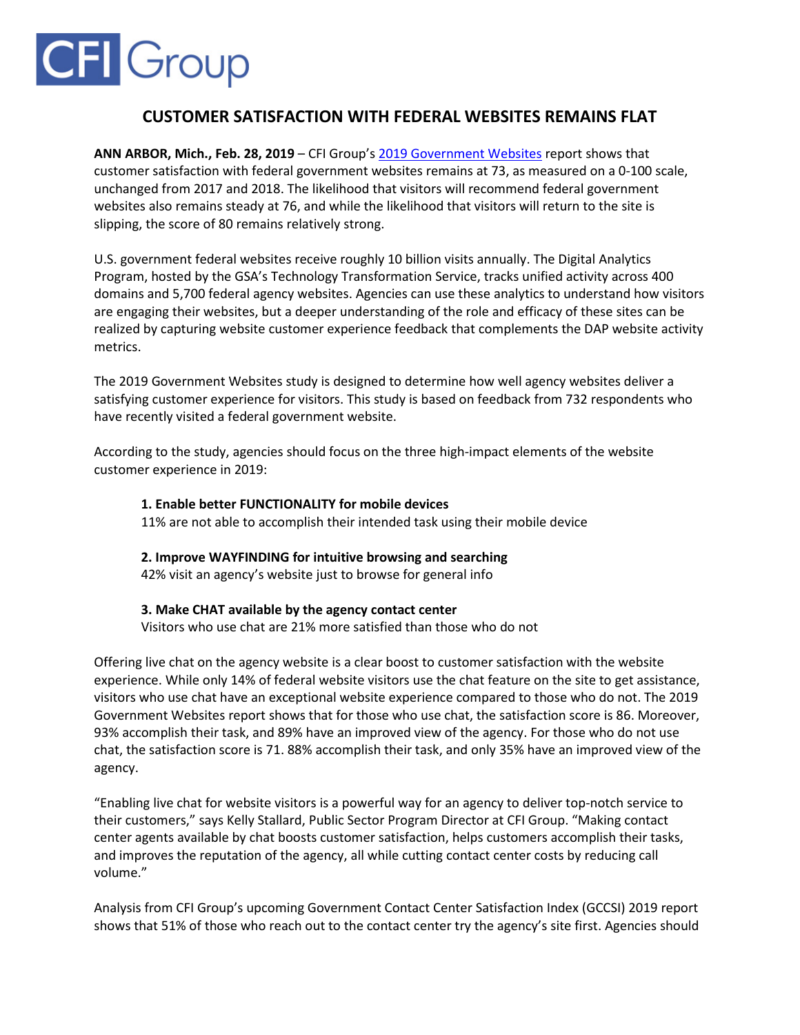# **CFI** Group

# **CUSTOMER SATISFACTION WITH FEDERAL WEBSITES REMAINS FLAT**

**ANN ARBOR, Mich., Feb. 28, 2019** – CFI Group'[s 2019 Government Websites](https://cfigroup.com/resource-item/government-websites-2019) report shows that customer satisfaction with federal government websites remains at 73, as measured on a 0-100 scale, unchanged from 2017 and 2018. The likelihood that visitors will recommend federal government websites also remains steady at 76, and while the likelihood that visitors will return to the site is slipping, the score of 80 remains relatively strong.

U.S. government federal websites receive roughly 10 billion visits annually. The Digital Analytics Program, hosted by the GSA's Technology Transformation Service, tracks unified activity across 400 domains and 5,700 federal agency websites. Agencies can use these analytics to understand how visitors are engaging their websites, but a deeper understanding of the role and efficacy of these sites can be realized by capturing website customer experience feedback that complements the DAP website activity metrics.

The 2019 Government Websites study is designed to determine how well agency websites deliver a satisfying customer experience for visitors. This study is based on feedback from 732 respondents who have recently visited a federal government website.

According to the study, agencies should focus on the three high-impact elements of the website customer experience in 2019:

### **1. Enable better FUNCTIONALITY for mobile devices**

11% are not able to accomplish their intended task using their mobile device

## **2. Improve WAYFINDING for intuitive browsing and searching**

42% visit an agency's website just to browse for general info

#### **3. Make CHAT available by the agency contact center**

Visitors who use chat are 21% more satisfied than those who do not

Offering live chat on the agency website is a clear boost to customer satisfaction with the website experience. While only 14% of federal website visitors use the chat feature on the site to get assistance, visitors who use chat have an exceptional website experience compared to those who do not. The 2019 Government Websites report shows that for those who use chat, the satisfaction score is 86. Moreover, 93% accomplish their task, and 89% have an improved view of the agency. For those who do not use chat, the satisfaction score is 71. 88% accomplish their task, and only 35% have an improved view of the agency.

"Enabling live chat for website visitors is a powerful way for an agency to deliver top-notch service to their customers," says Kelly Stallard, Public Sector Program Director at CFI Group. "Making contact center agents available by chat boosts customer satisfaction, helps customers accomplish their tasks, and improves the reputation of the agency, all while cutting contact center costs by reducing call volume."

Analysis from CFI Group's upcoming Government Contact Center Satisfaction Index (GCCSI) 2019 report shows that 51% of those who reach out to the contact center try the agency's site first. Agencies should